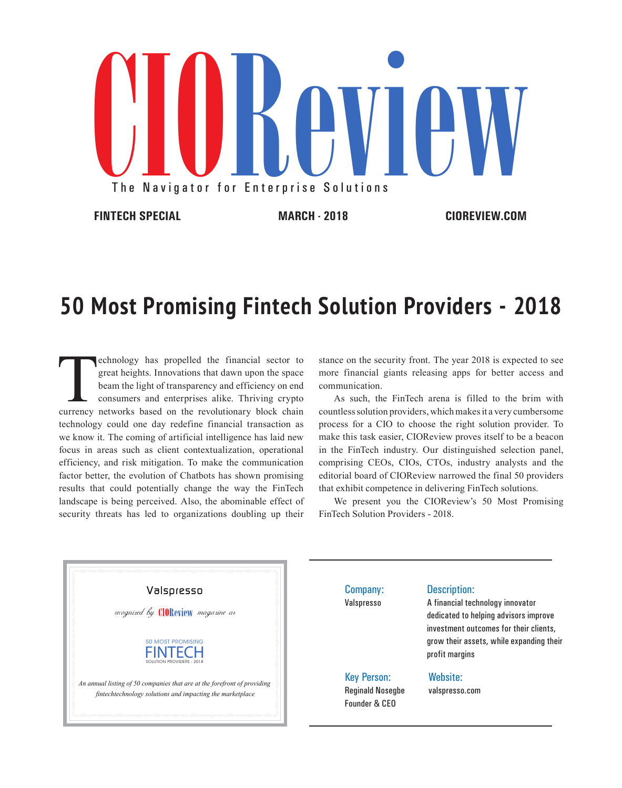

## **50 Most Promising Fintech Solution Providers - 2018**

echnology has propelled the financial sector to great heights. Innovations that dawn upon the space beam the light of transparency and efficiency on end consumers and enterprises alike. Thriving crypto currency networks ba great heights. Innovations that dawn upon the space beam the light of transparency and efficiency on end consumers and enterprises alike. Thriving crypto technology could one day redefine financial transaction as we know it. The coming of artificial intelligence has laid new focus in areas such as client contextualization, operational efficiency, and risk mitigation. To make the communication factor better, the evolution of Chatbots has shown promising results that could potentially change the way the FinTech landscape is being perceived. Also, the abominable effect of security threats has led to organizations doubling up their

stance on the security front. The year 2018 is expected to see more financial giants releasing apps for better access and communication.

As such, the FinTech arena is filled to the brim with countless solution providers, which makes it a very cumbersome process for a CIO to choose the right solution provider. To make this task easier, CIOReview proves itself to be a beacon in the FinTech industry. Our distinguished selection panel, comprising CEOs, CIOs, CTOs, industry analysts and the editorial board of CIOReview narrowed the final 50 providers that exhibit competence in delivering FinTech solutions.

We present you the CIOReview's 50 Most Promising FinTech Solution Providers - 2018.